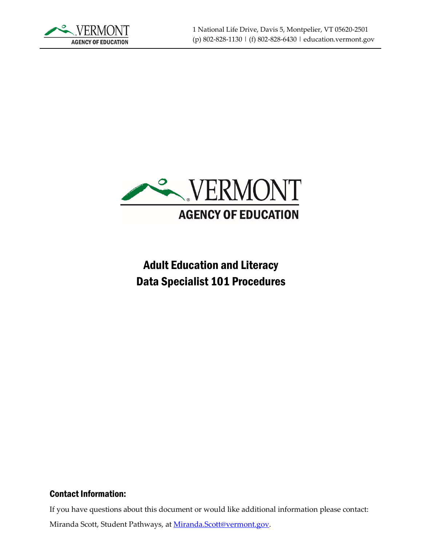



# Adult Education and Literacy Data Specialist 101 Procedures

#### Contact Information:

If you have questions about this document or would like additional information please contact:

Miranda Scott, Student Pathways, at [Miranda.Scott@vermont.gov.](mailto:Miranda.Scott@vermont.gov)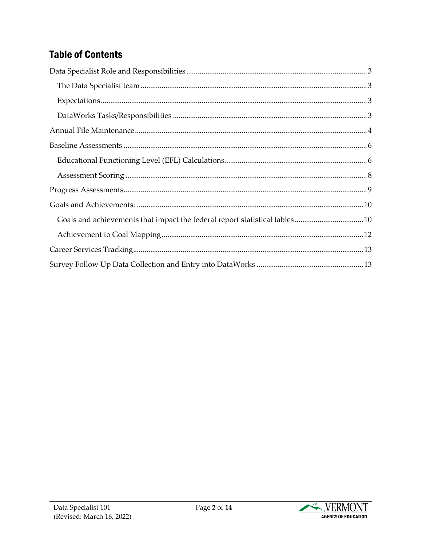## **Table of Contents**

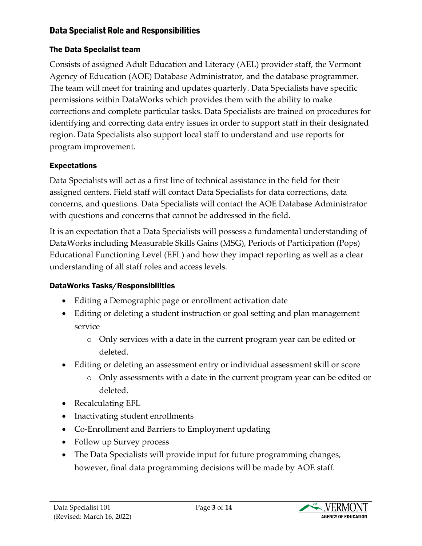#### <span id="page-2-0"></span>Data Specialist Role and Responsibilities

## <span id="page-2-1"></span>The Data Specialist team

Consists of assigned Adult Education and Literacy (AEL) provider staff, the Vermont Agency of Education (AOE) Database Administrator, and the database programmer. The team will meet for training and updates quarterly. Data Specialists have specific permissions within DataWorks which provides them with the ability to make corrections and complete particular tasks. Data Specialists are trained on procedures for identifying and correcting data entry issues in order to support staff in their designated region. Data Specialists also support local staff to understand and use reports for program improvement.

## <span id="page-2-2"></span>Expectations

Data Specialists will act as a first line of technical assistance in the field for their assigned centers. Field staff will contact Data Specialists for data corrections, data concerns, and questions. Data Specialists will contact the AOE Database Administrator with questions and concerns that cannot be addressed in the field.

It is an expectation that a Data Specialists will possess a fundamental understanding of DataWorks including Measurable Skills Gains (MSG), Periods of Participation (Pops) Educational Functioning Level (EFL) and how they impact reporting as well as a clear understanding of all staff roles and access levels.

#### <span id="page-2-3"></span>DataWorks Tasks/Responsibilities

- Editing a Demographic page or enrollment activation date
- Editing or deleting a student instruction or goal setting and plan management service
	- o Only services with a date in the current program year can be edited or deleted.
- Editing or deleting an assessment entry or individual assessment skill or score
	- o Only assessments with a date in the current program year can be edited or deleted.
- Recalculating EFL
- Inactivating student enrollments
- Co-Enrollment and Barriers to Employment updating
- Follow up Survey process
- The Data Specialists will provide input for future programming changes, however, final data programming decisions will be made by AOE staff.

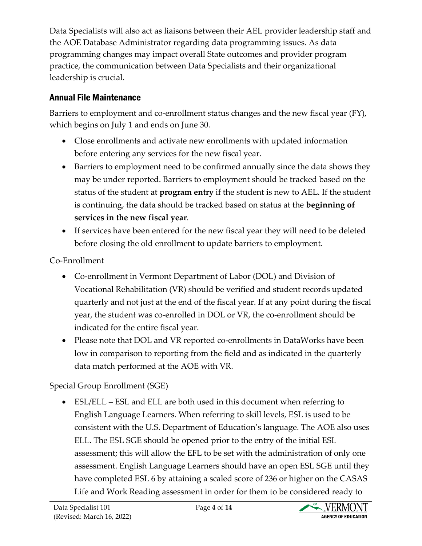Data Specialists will also act as liaisons between their AEL provider leadership staff and the AOE Database Administrator regarding data programming issues. As data programming changes may impact overall State outcomes and provider program practice, the communication between Data Specialists and their organizational leadership is crucial.

## <span id="page-3-0"></span>Annual File Maintenance

Barriers to employment and co-enrollment status changes and the new fiscal year (FY), which begins on July 1 and ends on June 30.

- Close enrollments and activate new enrollments with updated information before entering any services for the new fiscal year.
- Barriers to employment need to be confirmed annually since the data shows they may be under reported. Barriers to employment should be tracked based on the status of the student at **program entry** if the student is new to AEL. If the student is continuing, the data should be tracked based on status at the **beginning of services in the new fiscal year**.
- If services have been entered for the new fiscal year they will need to be deleted before closing the old enrollment to update barriers to employment.

## Co-Enrollment

- Co-enrollment in Vermont Department of Labor (DOL) and Division of Vocational Rehabilitation (VR) should be verified and student records updated quarterly and not just at the end of the fiscal year. If at any point during the fiscal year, the student was co-enrolled in DOL or VR, the co-enrollment should be indicated for the entire fiscal year.
- Please note that DOL and VR reported co-enrollments in DataWorks have been low in comparison to reporting from the field and as indicated in the quarterly data match performed at the AOE with VR.

## Special Group Enrollment (SGE)

• ESL/ELL – ESL and ELL are both used in this document when referring to English Language Learners. When referring to skill levels, ESL is used to be consistent with the U.S. Department of Education's language. The AOE also uses ELL. The ESL SGE should be opened prior to the entry of the initial ESL assessment; this will allow the EFL to be set with the administration of only one assessment. English Language Learners should have an open ESL SGE until they have completed ESL 6 by attaining a scaled score of 236 or higher on the CASAS Life and Work Reading assessment in order for them to be considered ready to

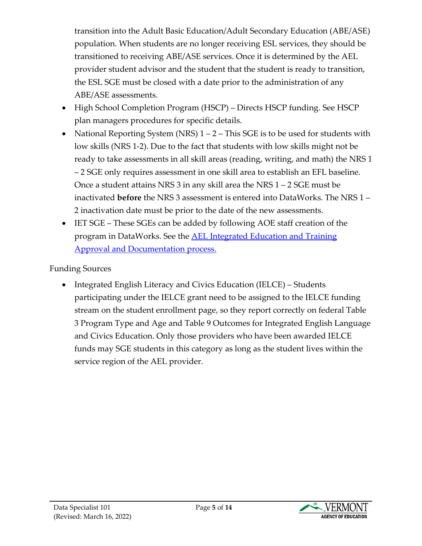transition into the Adult Basic Education/Adult Secondary Education (ABE/ASE) population. When students are no longer receiving ESL services, they should be transitioned to receiving ABE/ASE services. Once it is determined by the AEL provider student advisor and the student that the student is ready to transition, the ESL SGE must be closed with a date prior to the administration of any ABE/ASE assessments.

- High School Completion Program (HSCP) Directs HSCP funding. See HSCP plan managers procedures for specific details.
- National Reporting System (NRS)  $1 2 -$  This SGE is to be used for students with low skills (NRS 1-2). Due to the fact that students with low skills might not be ready to take assessments in all skill areas (reading, writing, and math) the NRS 1 – 2 SGE only requires assessment in one skill area to establish an EFL baseline. Once a student attains NRS 3 in any skill area the NRS 1 – 2 SGE must be inactivated **before** the NRS 3 assessment is entered into DataWorks. The NRS 1 – 2 inactivation date must be prior to the date of the new assessments.
- IET SGE These SGEs can be added by following AOE staff creation of the program in DataWorks. See the [AEL Integrated Education and Training](https://education.vermont.gov/documents/ael-iet-approval-and-documentation-process)  [Approval and Documentation process.](https://education.vermont.gov/documents/ael-iet-approval-and-documentation-process)

#### Funding Sources

• Integrated English Literacy and Civics Education (IELCE) – Students participating under the IELCE grant need to be assigned to the IELCE funding stream on the student enrollment page, so they report correctly on federal Table 3 Program Type and Age and Table 9 Outcomes for Integrated English Language and Civics Education. Only those providers who have been awarded IELCE funds may SGE students in this category as long as the student lives within the service region of the AEL provider.

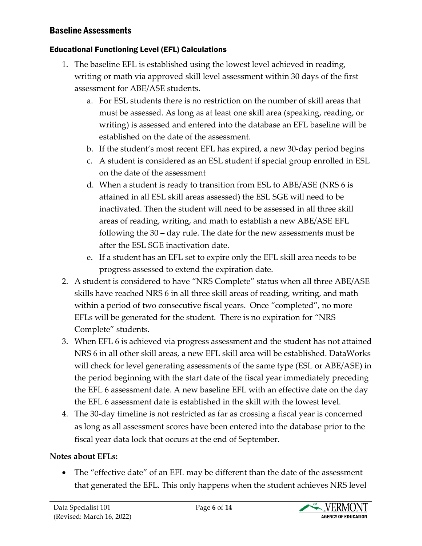#### <span id="page-5-0"></span>Baseline Assessments

#### <span id="page-5-1"></span>Educational Functioning Level (EFL) Calculations

- 1. The baseline EFL is established using the lowest level achieved in reading, writing or math via approved skill level assessment within 30 days of the first assessment for ABE/ASE students.
	- a. For ESL students there is no restriction on the number of skill areas that must be assessed. As long as at least one skill area (speaking, reading, or writing) is assessed and entered into the database an EFL baseline will be established on the date of the assessment.
	- b. If the student's most recent EFL has expired, a new 30-day period begins
	- c. A student is considered as an ESL student if special group enrolled in ESL on the date of the assessment
	- d. When a student is ready to transition from ESL to ABE/ASE (NRS 6 is attained in all ESL skill areas assessed) the ESL SGE will need to be inactivated. Then the student will need to be assessed in all three skill areas of reading, writing, and math to establish a new ABE/ASE EFL following the 30 – day rule. The date for the new assessments must be after the ESL SGE inactivation date.
	- e. If a student has an EFL set to expire only the EFL skill area needs to be progress assessed to extend the expiration date.
- 2. A student is considered to have "NRS Complete" status when all three ABE/ASE skills have reached NRS 6 in all three skill areas of reading, writing, and math within a period of two consecutive fiscal years. Once "completed", no more EFLs will be generated for the student. There is no expiration for "NRS Complete" students.
- 3. When EFL 6 is achieved via progress assessment and the student has not attained NRS 6 in all other skill areas, a new EFL skill area will be established. DataWorks will check for level generating assessments of the same type (ESL or ABE/ASE) in the period beginning with the start date of the fiscal year immediately preceding the EFL 6 assessment date. A new baseline EFL with an effective date on the day the EFL 6 assessment date is established in the skill with the lowest level.
- 4. The 30-day timeline is not restricted as far as crossing a fiscal year is concerned as long as all assessment scores have been entered into the database prior to the fiscal year data lock that occurs at the end of September.

#### **Notes about EFLs:**

• The "effective date" of an EFL may be different than the date of the assessment that generated the EFL. This only happens when the student achieves NRS level

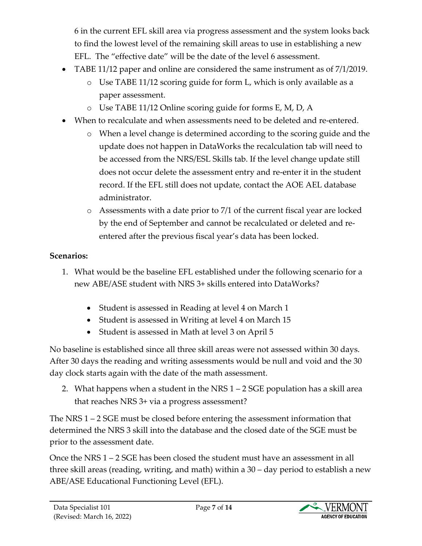6 in the current EFL skill area via progress assessment and the system looks back to find the lowest level of the remaining skill areas to use in establishing a new EFL. The "effective date" will be the date of the level 6 assessment.

- TABE 11/12 paper and online are considered the same instrument as of 7/1/2019.
	- o Use TABE 11/12 scoring guide for form L, which is only available as a paper assessment.
	- o Use TABE 11/12 Online scoring guide for forms E, M, D, A
- When to recalculate and when assessments need to be deleted and re-entered.
	- o When a level change is determined according to the scoring guide and the update does not happen in DataWorks the recalculation tab will need to be accessed from the NRS/ESL Skills tab. If the level change update still does not occur delete the assessment entry and re-enter it in the student record. If the EFL still does not update, contact the AOE AEL database administrator.
	- o Assessments with a date prior to 7/1 of the current fiscal year are locked by the end of September and cannot be recalculated or deleted and reentered after the previous fiscal year's data has been locked.

### **Scenarios:**

- 1. What would be the baseline EFL established under the following scenario for a new ABE/ASE student with NRS 3+ skills entered into DataWorks?
	- Student is assessed in Reading at level 4 on March 1
	- Student is assessed in Writing at level 4 on March 15
	- Student is assessed in Math at level 3 on April 5

No baseline is established since all three skill areas were not assessed within 30 days. After 30 days the reading and writing assessments would be null and void and the 30 day clock starts again with the date of the math assessment.

2. What happens when a student in the NRS  $1 - 2$  SGE population has a skill area that reaches NRS 3+ via a progress assessment?

The NRS 1 – 2 SGE must be closed before entering the assessment information that determined the NRS 3 skill into the database and the closed date of the SGE must be prior to the assessment date.

Once the NRS 1 – 2 SGE has been closed the student must have an assessment in all three skill areas (reading, writing, and math) within a 30 – day period to establish a new ABE/ASE Educational Functioning Level (EFL).

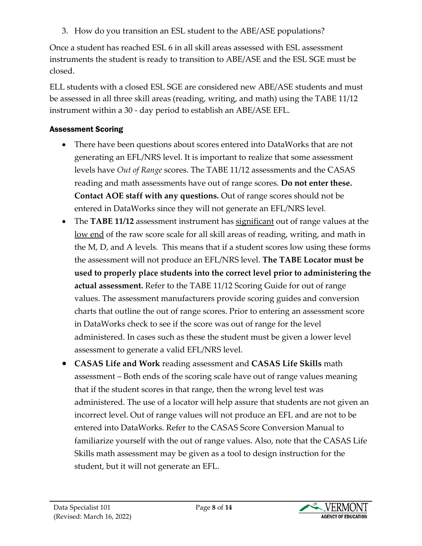3. How do you transition an ESL student to the ABE/ASE populations?

Once a student has reached ESL 6 in all skill areas assessed with ESL assessment instruments the student is ready to transition to ABE/ASE and the ESL SGE must be closed.

ELL students with a closed ESL SGE are considered new ABE/ASE students and must be assessed in all three skill areas (reading, writing, and math) using the TABE 11/12 instrument within a 30 - day period to establish an ABE/ASE EFL.

#### <span id="page-7-0"></span>Assessment Scoring

- There have been questions about scores entered into DataWorks that are not generating an EFL/NRS level. It is important to realize that some assessment levels have *Out of Range* scores. The TABE 11/12 assessments and the CASAS reading and math assessments have out of range scores. **Do not enter these. Contact AOE staff with any questions.** Out of range scores should not be entered in DataWorks since they will not generate an EFL/NRS level.
- The **TABE 11/12** assessment instrument has significant out of range values at the low end of the raw score scale for all skill areas of reading, writing, and math in the M, D, and A levels. This means that if a student scores low using these forms the assessment will not produce an EFL/NRS level. **The TABE Locator must be used to properly place students into the correct level prior to administering the actual assessment.** Refer to the TABE 11/12 Scoring Guide for out of range values. The assessment manufacturers provide scoring guides and conversion charts that outline the out of range scores. Prior to entering an assessment score in DataWorks check to see if the score was out of range for the level administered. In cases such as these the student must be given a lower level assessment to generate a valid EFL/NRS level.
- **CASAS Life and Work** reading assessment and **CASAS Life Skills** math assessment – Both ends of the scoring scale have out of range values meaning that if the student scores in that range, then the wrong level test was administered. The use of a locator will help assure that students are not given an incorrect level. Out of range values will not produce an EFL and are not to be entered into DataWorks. Refer to the CASAS Score Conversion Manual to familiarize yourself with the out of range values. Also, note that the CASAS Life Skills math assessment may be given as a tool to design instruction for the student, but it will not generate an EFL.

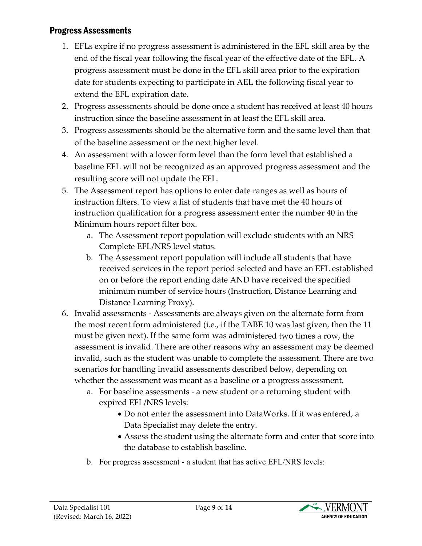#### <span id="page-8-0"></span>Progress Assessments

- 1. EFLs expire if no progress assessment is administered in the EFL skill area by the end of the fiscal year following the fiscal year of the effective date of the EFL. A progress assessment must be done in the EFL skill area prior to the expiration date for students expecting to participate in AEL the following fiscal year to extend the EFL expiration date.
- 2. Progress assessments should be done once a student has received at least 40 hours instruction since the baseline assessment in at least the EFL skill area.
- 3. Progress assessments should be the alternative form and the same level than that of the baseline assessment or the next higher level.
- 4. An assessment with a lower form level than the form level that established a baseline EFL will not be recognized as an approved progress assessment and the resulting score will not update the EFL.
- 5. The Assessment report has options to enter date ranges as well as hours of instruction filters. To view a list of students that have met the 40 hours of instruction qualification for a progress assessment enter the number 40 in the Minimum hours report filter box.
	- a. The Assessment report population will exclude students with an NRS Complete EFL/NRS level status.
	- b. The Assessment report population will include all students that have received services in the report period selected and have an EFL established on or before the report ending date AND have received the specified minimum number of service hours (Instruction, Distance Learning and Distance Learning Proxy).
- 6. Invalid assessments Assessments are always given on the alternate form from the most recent form administered (i.e., if the TABE 10 was last given, then the 11 must be given next). If the same form was administered two times a row, the assessment is invalid. There are other reasons why an assessment may be deemed invalid, such as the student was unable to complete the assessment. There are two scenarios for handling invalid assessments described below, depending on whether the assessment was meant as a baseline or a progress assessment.
	- a. For baseline assessments a new student or a returning student with expired EFL/NRS levels:
		- Do not enter the assessment into DataWorks. If it was entered, a Data Specialist may delete the entry.
		- Assess the student using the alternate form and enter that score into the database to establish baseline.
	- b. For progress assessment a student that has active EFL/NRS levels:

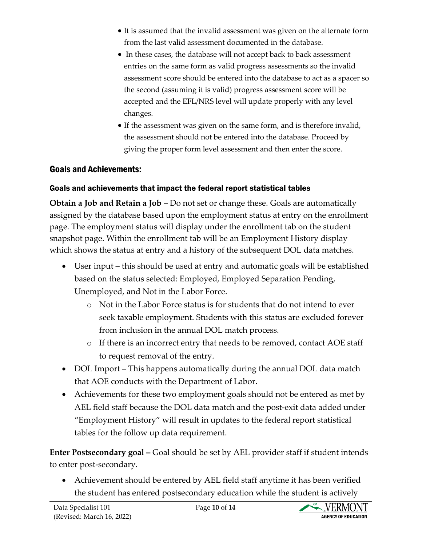- It is assumed that the invalid assessment was given on the alternate form from the last valid assessment documented in the database.
- In these cases, the database will not accept back to back assessment entries on the same form as valid progress assessments so the invalid assessment score should be entered into the database to act as a spacer so the second (assuming it is valid) progress assessment score will be accepted and the EFL/NRS level will update properly with any level changes.
- If the assessment was given on the same form, and is therefore invalid, the assessment should not be entered into the database. Proceed by giving the proper form level assessment and then enter the score.

#### <span id="page-9-0"></span>Goals and Achievements:

#### <span id="page-9-1"></span>Goals and achievements that impact the federal report statistical tables

**Obtain a Job and Retain a Job** – Do not set or change these. Goals are automatically assigned by the database based upon the employment status at entry on the enrollment page. The employment status will display under the enrollment tab on the student snapshot page. Within the enrollment tab will be an Employment History display which shows the status at entry and a history of the subsequent DOL data matches.

- User input this should be used at entry and automatic goals will be established based on the status selected: Employed, Employed Separation Pending, Unemployed, and Not in the Labor Force.
	- o Not in the Labor Force status is for students that do not intend to ever seek taxable employment. Students with this status are excluded forever from inclusion in the annual DOL match process.
	- o If there is an incorrect entry that needs to be removed, contact AOE staff to request removal of the entry.
- DOL Import This happens automatically during the annual DOL data match that AOE conducts with the Department of Labor.
- Achievements for these two employment goals should not be entered as met by AEL field staff because the DOL data match and the post-exit data added under "Employment History" will result in updates to the federal report statistical tables for the follow up data requirement.

**Enter Postsecondary goal –** Goal should be set by AEL provider staff if student intends to enter post-secondary.

• Achievement should be entered by AEL field staff anytime it has been verified the student has entered postsecondary education while the student is actively

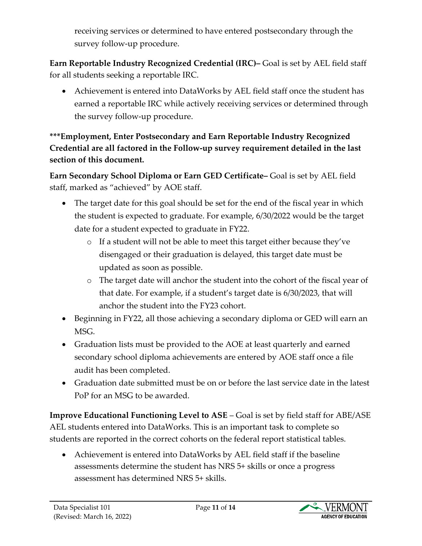receiving services or determined to have entered postsecondary through the survey follow-up procedure.

**Earn Reportable Industry Recognized Credential (IRC)–** Goal is set by AEL field staff for all students seeking a reportable IRC.

• Achievement is entered into DataWorks by AEL field staff once the student has earned a reportable IRC while actively receiving services or determined through the survey follow-up procedure.

**\*\*\*Employment, Enter Postsecondary and Earn Reportable Industry Recognized Credential are all factored in the Follow-up survey requirement detailed in the last section of this document.**

**Earn Secondary School Diploma or Earn GED Certificate–** Goal is set by AEL field staff, marked as "achieved" by AOE staff.

- The target date for this goal should be set for the end of the fiscal year in which the student is expected to graduate. For example, 6/30/2022 would be the target date for a student expected to graduate in FY22.
	- o If a student will not be able to meet this target either because they've disengaged or their graduation is delayed, this target date must be updated as soon as possible.
	- o The target date will anchor the student into the cohort of the fiscal year of that date. For example, if a student's target date is 6/30/2023, that will anchor the student into the FY23 cohort.
- Beginning in FY22, all those achieving a secondary diploma or GED will earn an MSG.
- Graduation lists must be provided to the AOE at least quarterly and earned secondary school diploma achievements are entered by AOE staff once a file audit has been completed.
- Graduation date submitted must be on or before the last service date in the latest PoP for an MSG to be awarded.

**Improve Educational Functioning Level to ASE** – Goal is set by field staff for ABE/ASE AEL students entered into DataWorks. This is an important task to complete so students are reported in the correct cohorts on the federal report statistical tables.

• Achievement is entered into DataWorks by AEL field staff if the baseline assessments determine the student has NRS 5+ skills or once a progress assessment has determined NRS 5+ skills.

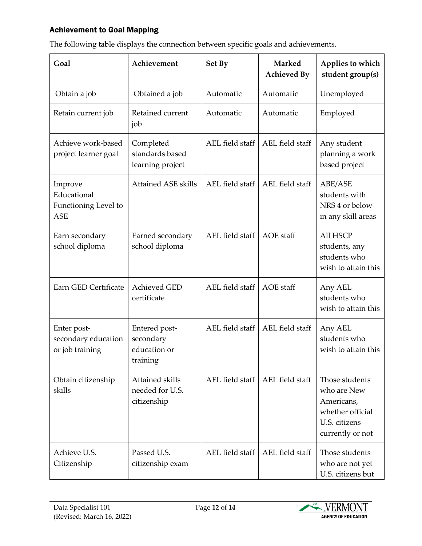#### <span id="page-11-0"></span>Achievement to Goal Mapping

| Goal                                                         | Achievement                                                     | Set By          | <b>Marked</b><br><b>Achieved By</b> | Applies to which<br>student group(s)                                                                 |
|--------------------------------------------------------------|-----------------------------------------------------------------|-----------------|-------------------------------------|------------------------------------------------------------------------------------------------------|
| Obtain a job                                                 | Obtained a job                                                  | Automatic       | Automatic                           | Unemployed                                                                                           |
| Retain current job                                           | Retained current<br>job                                         | Automatic       | Automatic                           | Employed                                                                                             |
| Achieve work-based<br>project learner goal                   | Completed<br>standards based<br>learning project                | AEL field staff | AEL field staff                     | Any student<br>planning a work<br>based project                                                      |
| Improve<br>Educational<br>Functioning Level to<br><b>ASE</b> | <b>Attained ASE skills</b>                                      | AEL field staff | AEL field staff                     | ABE/ASE<br>students with<br>NRS 4 or below<br>in any skill areas                                     |
| Earn secondary<br>school diploma                             | Earned secondary<br>school diploma                              | AEL field staff | AOE staff                           | <b>All HSCP</b><br>students, any<br>students who<br>wish to attain this                              |
| Earn GED Certificate                                         | <b>Achieved GED</b><br>certificate                              | AEL field staff | <b>AOE</b> staff                    | Any AEL<br>students who<br>wish to attain this                                                       |
| Enter post-<br>secondary education<br>or job training        | Entered post-<br>secondary<br>education or<br>$\mbox{training}$ | AEL field staff | AEL field staff                     | Any AEL<br>students who<br>wish to attain this                                                       |
| Obtain citizenship<br>skills                                 | Attained skills<br>needed for U.S.<br>citizenship               | AEL field staff | AEL field staff                     | Those students<br>who are New<br>Americans,<br>whether official<br>U.S. citizens<br>currently or not |
| Achieve U.S.<br>Citizenship                                  | Passed U.S.<br>citizenship exam                                 | AEL field staff | AEL field staff                     | Those students<br>who are not yet<br>U.S. citizens but                                               |

The following table displays the connection between specific goals and achievements.

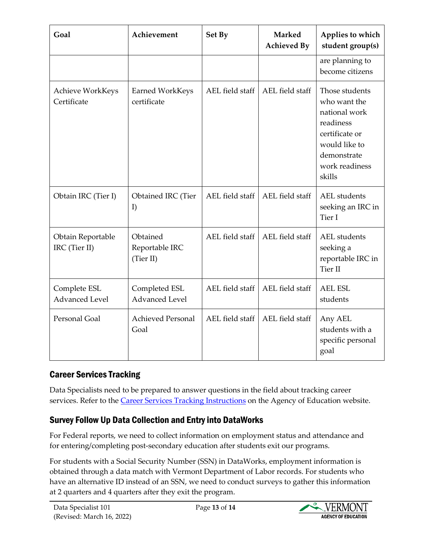| Goal                                  | Achievement                             | Set By          | <b>Marked</b><br><b>Achieved By</b> | Applies to which<br>student group(s)                                                                                                       |
|---------------------------------------|-----------------------------------------|-----------------|-------------------------------------|--------------------------------------------------------------------------------------------------------------------------------------------|
|                                       |                                         |                 |                                     | are planning to<br>become citizens                                                                                                         |
| Achieve WorkKeys<br>Certificate       | <b>Earned WorkKeys</b><br>certificate   | AEL field staff | AEL field staff                     | Those students<br>who want the<br>national work<br>readiness<br>certificate or<br>would like to<br>demonstrate<br>work readiness<br>skills |
| Obtain IRC (Tier I)                   | Obtained IRC (Tier<br>I)                | AEL field staff | AEL field staff                     | <b>AEL</b> students<br>seeking an IRC in<br>Tier I                                                                                         |
| Obtain Reportable<br>IRC (Tier II)    | Obtained<br>Reportable IRC<br>(Tier II) | AEL field staff | AEL field staff                     | <b>AEL</b> students<br>seeking a<br>reportable IRC in<br><b>Tier II</b>                                                                    |
| Complete ESL<br><b>Advanced Level</b> | Completed ESL<br><b>Advanced Level</b>  | AEL field staff | AEL field staff                     | <b>AEL ESL</b><br>students                                                                                                                 |
| Personal Goal                         | <b>Achieved Personal</b><br>Goal        | AEL field staff | AEL field staff                     | Any AEL<br>students with a<br>specific personal<br>goal                                                                                    |

## <span id="page-12-0"></span>Career Services Tracking

Data Specialists need to be prepared to answer questions in the field about tracking career services. Refer to the Career Services [Tracking Instructions](https://education.vermont.gov/documents/ael-career-services-tracking-instructions) on the Agency of Education website.

## <span id="page-12-1"></span>Survey Follow Up Data Collection and Entry into DataWorks

For Federal reports, we need to collect information on employment status and attendance and for entering/completing post-secondary education after students exit our programs.

For students with a Social Security Number (SSN) in DataWorks, employment information is obtained through a data match with Vermont Department of Labor records. For students who have an alternative ID instead of an SSN, we need to conduct surveys to gather this information at 2 quarters and 4 quarters after they exit the program.